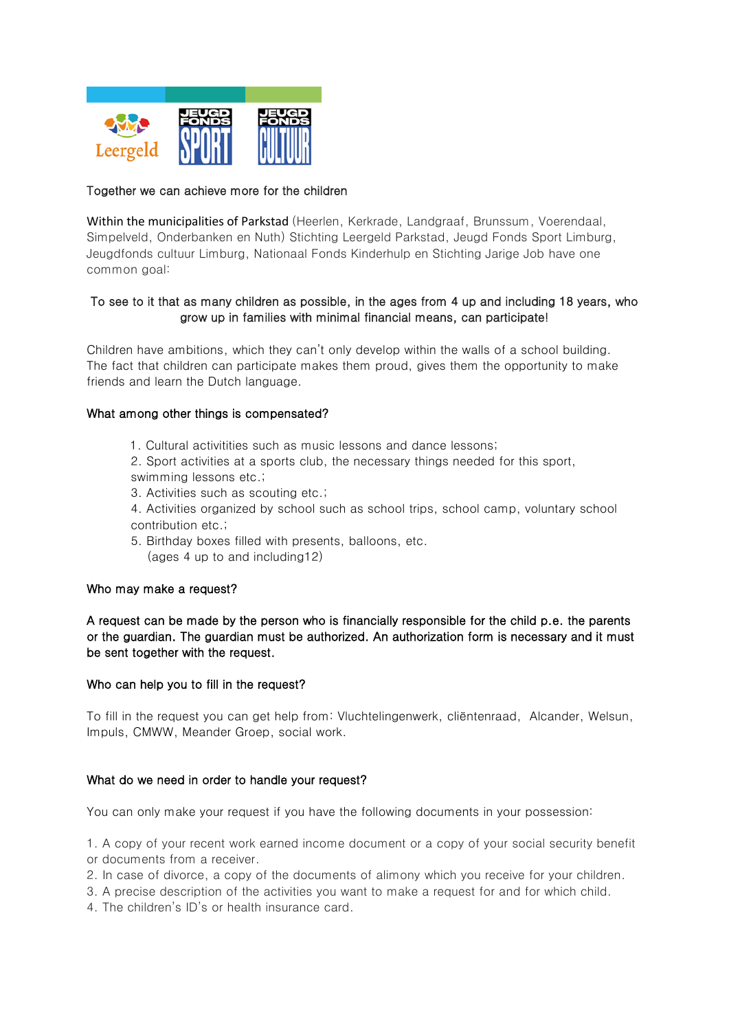

## Together we can achieve more for the children

Within the municipalities of Parkstad (Heerlen, Kerkrade, Landgraaf, Brunssum, Voerendaal, Simpelveld, Onderbanken en Nuth) Stichting Leergeld Parkstad, Jeugd Fonds Sport Limburg, Jeugdfonds cultuur Limburg, Nationaal Fonds Kinderhulp en Stichting Jarige Job have one common goal:

## To see to it that as many children as possible, in the ages from 4 up and including 18 years, who grow up in families with minimal financial means, can participate!

Children have ambitions, which they can't only develop within the walls of a school building. The fact that children can participate makes them proud, gives them the opportunity to make friends and learn the Dutch language.

### What among other things is compensated?

- 1. Cultural activitities such as music lessons and dance lessons;
- 2. Sport activities at a sports club, the necessary things needed for this sport, swimming lessons etc.;
- 3. Activities such as scouting etc.;
- 4. Activities organized by school such as school trips, school camp, voluntary school contribution etc.;
- 5. Birthday boxes filled with presents, balloons, etc. (ages 4 up to and including12)

### Who may make a request?

A request can be made by the person who is financially responsible for the child p.e. the parents or the guardian. The guardian must be authorized. An authorization form is necessary and it must be sent together with the request.

### Who can help you to fill in the request?

To fill in the request you can get help from: Vluchtelingenwerk, cliëntenraad, Alcander, Welsun, Impuls, CMWW, Meander Groep, social work.

#### What do we need in order to handle your request?

You can only make your request if you have the following documents in your possession:

1. A copy of your recent work earned income document or a copy of your social security benefit or documents from a receiver.

- 2. In case of divorce, a copy of the documents of alimony which you receive for your children.
- 3. A precise description of the activities you want to make a request for and for which child.
- 4. The children's ID's or health insurance card.